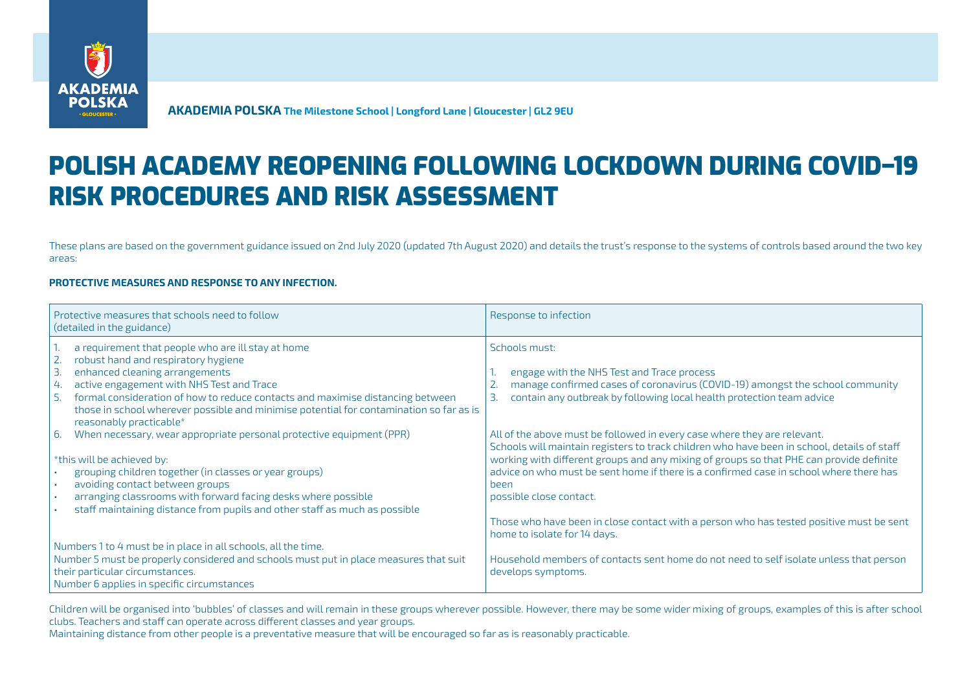

**AKADEMIA POLSKA The Milestone School | Longford Lane | Gloucester | GL2 9EU**

## POLISH ACADEMY REOPENING FOLLOWING LOCKDOWN DURING COVID–19 RISK PROCEDURES AND RISK ASSESSMENT

These plans are based on the government guidance issued on 2nd July 2020 (updated 7th August 2020) and details the trust's response to the systems of controls based around the two key areas:

## **PROTECTIVE MEASURES AND RESPONSE TO ANY INFECTION.**

| Protective measures that schools need to follow<br>(detailed in the guidance)                                      | Response to infection                                                                       |
|--------------------------------------------------------------------------------------------------------------------|---------------------------------------------------------------------------------------------|
| a requirement that people who are ill stay at home                                                                 | Schools must:                                                                               |
| robust hand and respiratory hygiene                                                                                |                                                                                             |
| $\overline{3}$ .<br>enhanced cleaning arrangements                                                                 | engage with the NHS Test and Trace process                                                  |
| active engagement with NHS Test and Trace<br>4.                                                                    | manage confirmed cases of coronavirus (COVID-19) amongst the school community               |
| -5.<br>formal consideration of how to reduce contacts and maximise distancing between                              | contain any outbreak by following local health protection team advice<br>3.                 |
| those in school wherever possible and minimise potential for contamination so far as is<br>reasonably practicable* |                                                                                             |
| When necessary, wear appropriate personal protective equipment (PPR)<br>6.                                         | All of the above must be followed in every case where they are relevant.                    |
|                                                                                                                    | Schools will maintain registers to track children who have been in school, details of staff |
| *this will be achieved by:                                                                                         | working with different groups and any mixing of groups so that PHE can provide definite     |
| grouping children together (in classes or year groups)                                                             | advice on who must be sent home if there is a confirmed case in school where there has      |
| avoiding contact between groups<br>$\blacksquare$                                                                  | heen                                                                                        |
| arranging classrooms with forward facing desks where possible                                                      | possible close contact.                                                                     |
| staff maintaining distance from pupils and other staff as much as possible                                         |                                                                                             |
|                                                                                                                    | Those who have been in close contact with a person who has tested positive must be sent     |
|                                                                                                                    | home to isolate for 14 days.                                                                |
| Numbers 1 to 4 must be in place in all schools, all the time.                                                      |                                                                                             |
| Number 5 must be properly considered and schools must put in place measures that suit                              | Household members of contacts sent home do not need to self isolate unless that person      |
| their particular circumstances.                                                                                    | develops symptoms.                                                                          |
| Number 6 applies in specific circumstances                                                                         |                                                                                             |

Children will be organised into 'bubbles' of classes and will remain in these groups wherever possible. However, there may be some wider mixing of groups, examples of this is after school clubs. Teachers and staff can operate across different classes and year groups.

Maintaining distance from other people is a preventative measure that will be encouraged so far as is reasonably practicable.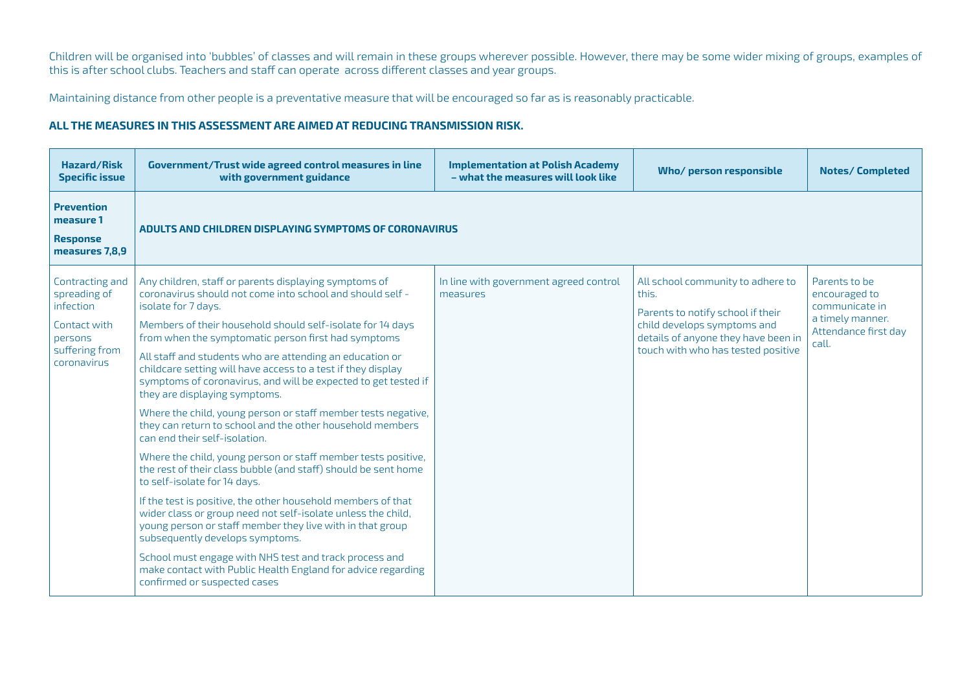Children will be organised into 'bubbles' of classes and will remain in these groups wherever possible. However, there may be some wider mixing of groups, examples of this is after school clubs. Teachers and staff can operate across different classes and year groups.

Maintaining distance from other people is a preventative measure that will be encouraged so far as is reasonably practicable.

## **ALL THE MEASURES IN THIS ASSESSMENT ARE AIMED AT REDUCING TRANSMISSION RISK.**

| <b>Hazard/Risk</b><br><b>Specific issue</b>                                                              | Government/Trust wide agreed control measures in line<br>with government guidance                                                                                                                                                                                                                                                                                                                                                                                                                                                                                                                                                                                                                                                                                                                                                                                                                                                                                                                                                                                                                                                                                                         | <b>Implementation at Polish Academy</b><br>- what the measures will look like | Who/ person responsible                                                                                                                                                                     | <b>Notes/Completed</b>                                                                                |
|----------------------------------------------------------------------------------------------------------|-------------------------------------------------------------------------------------------------------------------------------------------------------------------------------------------------------------------------------------------------------------------------------------------------------------------------------------------------------------------------------------------------------------------------------------------------------------------------------------------------------------------------------------------------------------------------------------------------------------------------------------------------------------------------------------------------------------------------------------------------------------------------------------------------------------------------------------------------------------------------------------------------------------------------------------------------------------------------------------------------------------------------------------------------------------------------------------------------------------------------------------------------------------------------------------------|-------------------------------------------------------------------------------|---------------------------------------------------------------------------------------------------------------------------------------------------------------------------------------------|-------------------------------------------------------------------------------------------------------|
| <b>Prevention</b><br>measure 1<br>Response<br>measures 7,8,9                                             | ADULTS AND CHILDREN DISPLAYING SYMPTOMS OF CORONAVIRUS                                                                                                                                                                                                                                                                                                                                                                                                                                                                                                                                                                                                                                                                                                                                                                                                                                                                                                                                                                                                                                                                                                                                    |                                                                               |                                                                                                                                                                                             |                                                                                                       |
| Contracting and<br>spreading of<br>infection<br>Contact with<br>persons<br>suffering from<br>coronavirus | Any children, staff or parents displaying symptoms of<br>coronavirus should not come into school and should self -<br>isolate for 7 days.<br>Members of their household should self-isolate for 14 days<br>from when the symptomatic person first had symptoms<br>All staff and students who are attending an education or<br>childcare setting will have access to a test if they display<br>symptoms of coronavirus, and will be expected to get tested if<br>they are displaying symptoms.<br>Where the child, young person or staff member tests negative,<br>they can return to school and the other household members<br>can end their self-isolation.<br>Where the child, young person or staff member tests positive,<br>the rest of their class bubble (and staff) should be sent home<br>to self-isolate for 14 days.<br>If the test is positive, the other household members of that<br>wider class or group need not self-isolate unless the child,<br>young person or staff member they live with in that group<br>subsequently develops symptoms.<br>School must engage with NHS test and track process and<br>make contact with Public Health England for advice regarding | In line with government agreed control<br>measures                            | All school community to adhere to<br>this.<br>Parents to notify school if their<br>child develops symptoms and<br>details of anyone they have been in<br>touch with who has tested positive | Parents to be<br>encouraged to<br>communicate in<br>a timely manner.<br>Attendance first day<br>call. |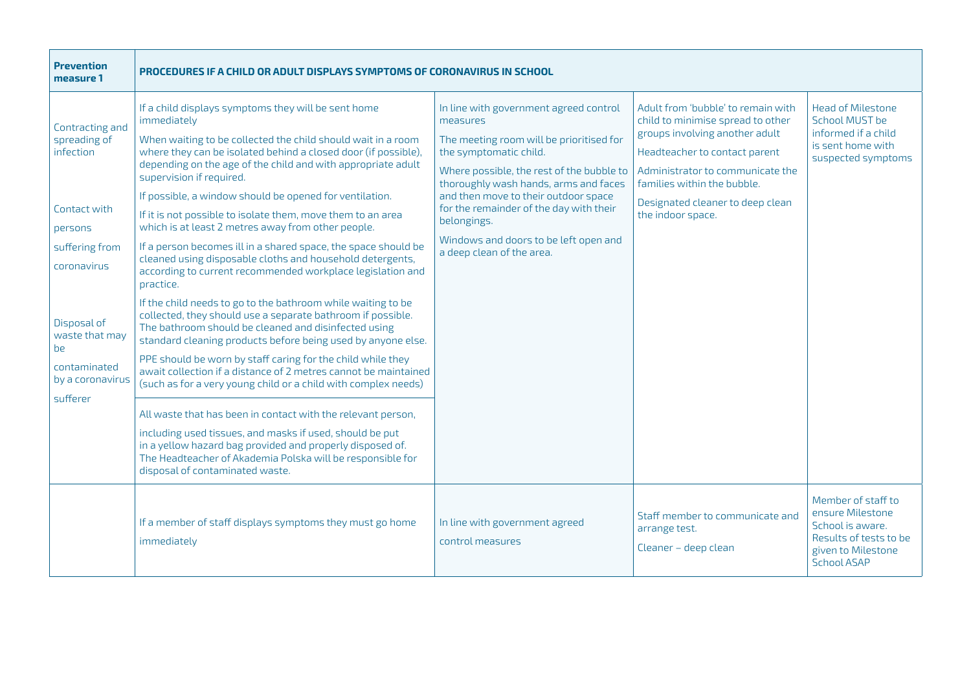| <b>Prevention</b><br>measure 1                                                                                                                                                                  | PROCEDURES IF A CHILD OR ADULT DISPLAYS SYMPTOMS OF CORONAVIRUS IN SCHOOL                                                                                                                                                                                                                                                                                                                                                                                                                                                                                                                                                                                                                                                                                                                                                                                                                                                                                                                                                                                                                                                                                                                                             |                                                                                                                                                                                                                                                                                                                                                                                        |                                                                                                                                                                                                                                                                        |                                                                                                                                  |
|-------------------------------------------------------------------------------------------------------------------------------------------------------------------------------------------------|-----------------------------------------------------------------------------------------------------------------------------------------------------------------------------------------------------------------------------------------------------------------------------------------------------------------------------------------------------------------------------------------------------------------------------------------------------------------------------------------------------------------------------------------------------------------------------------------------------------------------------------------------------------------------------------------------------------------------------------------------------------------------------------------------------------------------------------------------------------------------------------------------------------------------------------------------------------------------------------------------------------------------------------------------------------------------------------------------------------------------------------------------------------------------------------------------------------------------|----------------------------------------------------------------------------------------------------------------------------------------------------------------------------------------------------------------------------------------------------------------------------------------------------------------------------------------------------------------------------------------|------------------------------------------------------------------------------------------------------------------------------------------------------------------------------------------------------------------------------------------------------------------------|----------------------------------------------------------------------------------------------------------------------------------|
| Contracting and<br>spreading of<br>infection<br>Contact with<br>persons<br>suffering from<br>coronavirus<br>Disposal of<br>waste that may<br>be<br>contaminated<br>by a coronavirus<br>sufferer | If a child displays symptoms they will be sent home<br>immediately<br>When waiting to be collected the child should wait in a room<br>where they can be isolated behind a closed door (if possible),<br>depending on the age of the child and with appropriate adult<br>supervision if required.<br>If possible, a window should be opened for ventilation.<br>If it is not possible to isolate them, move them to an area<br>which is at least 2 metres away from other people.<br>If a person becomes ill in a shared space, the space should be<br>cleaned using disposable cloths and household detergents,<br>according to current recommended workplace legislation and<br>practice.<br>If the child needs to go to the bathroom while waiting to be<br>collected, they should use a separate bathroom if possible.<br>The bathroom should be cleaned and disinfected using<br>standard cleaning products before being used by anyone else.<br>PPE should be worn by staff caring for the child while they<br>await collection if a distance of 2 metres cannot be maintained<br>(such as for a very young child or a child with complex needs)<br>All waste that has been in contact with the relevant person, | In line with government agreed control<br>measures<br>The meeting room will be prioritised for<br>the symptomatic child.<br>Where possible, the rest of the bubble to<br>thoroughly wash hands, arms and faces<br>and then move to their outdoor space<br>for the remainder of the day with their<br>belongings.<br>Windows and doors to be left open and<br>a deep clean of the area. | Adult from 'bubble' to remain with<br>child to minimise spread to other<br>groups involving another adult<br>Headteacher to contact parent<br>Administrator to communicate the<br>families within the bubble.<br>Designated cleaner to deep clean<br>the indoor space. | <b>Head of Milestone</b><br>School MUST be<br>informed if a child<br>is sent home with<br>suspected symptoms                     |
|                                                                                                                                                                                                 | including used tissues, and masks if used, should be put<br>in a yellow hazard bag provided and properly disposed of.<br>The Headteacher of Akademia Polska will be responsible for<br>disposal of contaminated waste.                                                                                                                                                                                                                                                                                                                                                                                                                                                                                                                                                                                                                                                                                                                                                                                                                                                                                                                                                                                                |                                                                                                                                                                                                                                                                                                                                                                                        |                                                                                                                                                                                                                                                                        |                                                                                                                                  |
|                                                                                                                                                                                                 | If a member of staff displays symptoms they must go home<br>immediately                                                                                                                                                                                                                                                                                                                                                                                                                                                                                                                                                                                                                                                                                                                                                                                                                                                                                                                                                                                                                                                                                                                                               | In line with government agreed<br>control measures                                                                                                                                                                                                                                                                                                                                     | Staff member to communicate and<br>arrange test.<br>Cleaner - deep clean                                                                                                                                                                                               | Member of staff to<br>ensure Milestone<br>School is aware.<br>Results of tests to be<br>given to Milestone<br><b>School ASAP</b> |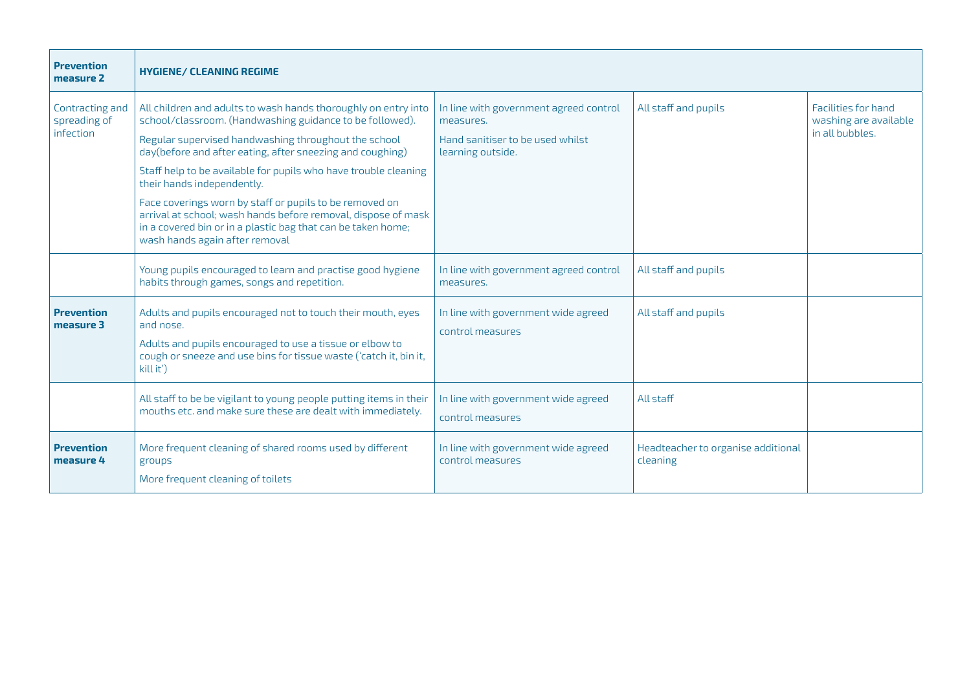| <b>Prevention</b><br>measure 2               | <b>HYGIENE/ CLEANING REGIME</b>                                                                                                                                                                                                                                                                                                                                                                                                                                                                                                                                                |                                                                                                              |                                                |                                                                 |
|----------------------------------------------|--------------------------------------------------------------------------------------------------------------------------------------------------------------------------------------------------------------------------------------------------------------------------------------------------------------------------------------------------------------------------------------------------------------------------------------------------------------------------------------------------------------------------------------------------------------------------------|--------------------------------------------------------------------------------------------------------------|------------------------------------------------|-----------------------------------------------------------------|
| Contracting and<br>spreading of<br>infection | All children and adults to wash hands thoroughly on entry into<br>school/classroom. (Handwashing guidance to be followed).<br>Regular supervised handwashing throughout the school<br>day(before and after eating, after sneezing and coughing)<br>Staff help to be available for pupils who have trouble cleaning<br>their hands independently.<br>Face coverings worn by staff or pupils to be removed on<br>arrival at school; wash hands before removal, dispose of mask<br>in a covered bin or in a plastic bag that can be taken home;<br>wash hands again after removal | In line with government agreed control<br>measures.<br>Hand sanitiser to be used whilst<br>learning outside. | All staff and pupils                           | Facilities for hand<br>washing are available<br>in all bubbles. |
|                                              | Young pupils encouraged to learn and practise good hygiene<br>habits through games, songs and repetition.                                                                                                                                                                                                                                                                                                                                                                                                                                                                      | In line with government agreed control<br>measures.                                                          | All staff and pupils                           |                                                                 |
| <b>Prevention</b><br>measure 3               | Adults and pupils encouraged not to touch their mouth, eyes<br>and nose.<br>Adults and pupils encouraged to use a tissue or elbow to<br>cough or sneeze and use bins for tissue waste ('catch it, bin it,<br>kill it')                                                                                                                                                                                                                                                                                                                                                         | In line with government wide agreed<br>control measures                                                      | All staff and pupils                           |                                                                 |
|                                              | All staff to be be vigilant to young people putting items in their<br>mouths etc. and make sure these are dealt with immediately.                                                                                                                                                                                                                                                                                                                                                                                                                                              | In line with government wide agreed<br>control measures                                                      | All staff                                      |                                                                 |
| <b>Prevention</b><br>measure 4               | More frequent cleaning of shared rooms used by different<br>groups<br>More frequent cleaning of toilets                                                                                                                                                                                                                                                                                                                                                                                                                                                                        | In line with government wide agreed<br>control measures                                                      | Headteacher to organise additional<br>cleaning |                                                                 |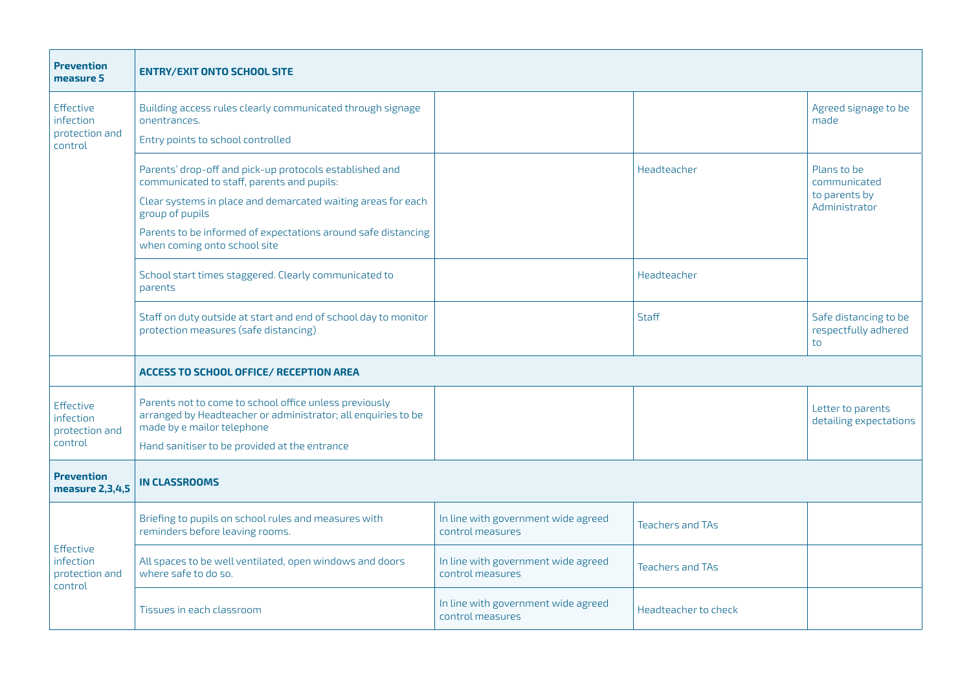| <b>Prevention</b><br>measure 5                             | <b>ENTRY/EXIT ONTO SCHOOL SITE</b>                                                                                                                                                                                                                                                        |                                                         |                         |                                                               |
|------------------------------------------------------------|-------------------------------------------------------------------------------------------------------------------------------------------------------------------------------------------------------------------------------------------------------------------------------------------|---------------------------------------------------------|-------------------------|---------------------------------------------------------------|
| <b>Effective</b><br>infection<br>protection and<br>control | Building access rules clearly communicated through signage<br>onentrances.<br>Entry points to school controlled                                                                                                                                                                           |                                                         |                         | Agreed signage to be<br>made                                  |
|                                                            | Parents' drop-off and pick-up protocols established and<br>communicated to staff, parents and pupils:<br>Clear systems in place and demarcated waiting areas for each<br>group of pupils<br>Parents to be informed of expectations around safe distancing<br>when coming onto school site |                                                         | Headteacher             | Plans to be<br>communicated<br>to parents by<br>Administrator |
|                                                            | School start times staggered. Clearly communicated to<br>parents                                                                                                                                                                                                                          |                                                         | Headteacher             |                                                               |
|                                                            | Staff on duty outside at start and end of school day to monitor<br>protection measures (safe distancing)                                                                                                                                                                                  |                                                         | Staff                   | Safe distancing to be<br>respectfully adhered<br>to           |
|                                                            | <b>ACCESS TO SCHOOL OFFICE/ RECEPTION AREA</b>                                                                                                                                                                                                                                            |                                                         |                         |                                                               |
| Effective<br>infection<br>protection and<br>control        | Parents not to come to school office unless previously<br>arranged by Headteacher or administrator; all enquiries to be<br>made by e mailor telephone<br>Hand sanitiser to be provided at the entrance                                                                                    |                                                         |                         | Letter to parents<br>detailing expectations                   |
| <b>Prevention</b><br>measure 2,3,4,5                       | <b>IN CLASSROOMS</b>                                                                                                                                                                                                                                                                      |                                                         |                         |                                                               |
| <b>Effective</b><br>infection<br>protection and<br>control | Briefing to pupils on school rules and measures with<br>reminders before leaving rooms.                                                                                                                                                                                                   | In line with government wide agreed<br>control measures | <b>Teachers and TAs</b> |                                                               |
|                                                            | All spaces to be well ventilated, open windows and doors<br>where safe to do so.                                                                                                                                                                                                          | In line with government wide agreed<br>control measures | <b>Teachers and TAs</b> |                                                               |
|                                                            | Tissues in each classroom                                                                                                                                                                                                                                                                 | In line with government wide agreed<br>control measures | Headteacher to check    |                                                               |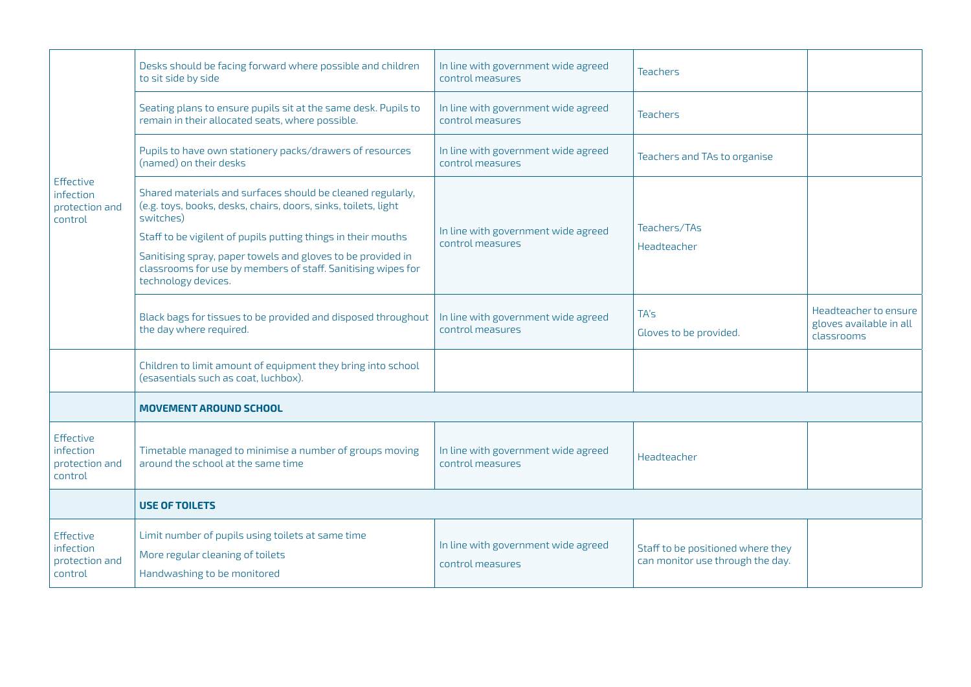| <b>Effective</b><br>infection<br>protection and<br>control | Desks should be facing forward where possible and children<br>to sit side by side                                                                                                                                                                                                                                                                                | In line with government wide agreed<br>control measures | <b>Teachers</b>                                                       |                                                                |
|------------------------------------------------------------|------------------------------------------------------------------------------------------------------------------------------------------------------------------------------------------------------------------------------------------------------------------------------------------------------------------------------------------------------------------|---------------------------------------------------------|-----------------------------------------------------------------------|----------------------------------------------------------------|
|                                                            | Seating plans to ensure pupils sit at the same desk. Pupils to<br>remain in their allocated seats, where possible.                                                                                                                                                                                                                                               | In line with government wide agreed<br>control measures | <b>Teachers</b>                                                       |                                                                |
|                                                            | Pupils to have own stationery packs/drawers of resources<br>(named) on their desks                                                                                                                                                                                                                                                                               | In line with government wide agreed<br>control measures | Teachers and TAs to organise                                          |                                                                |
|                                                            | Shared materials and surfaces should be cleaned regularly,<br>(e.g. toys, books, desks, chairs, doors, sinks, toilets, light<br>switches)<br>Staff to be vigilent of pupils putting things in their mouths<br>Sanitising spray, paper towels and gloves to be provided in<br>classrooms for use by members of staff. Sanitising wipes for<br>technology devices. | In line with government wide agreed<br>control measures | Teachers/TAs<br>Headteacher                                           |                                                                |
|                                                            | Black bags for tissues to be provided and disposed throughout<br>the day where required.                                                                                                                                                                                                                                                                         | In line with government wide agreed<br>control measures | TA's<br>Gloves to be provided.                                        | Headteacher to ensure<br>gloves available in all<br>classrooms |
|                                                            | Children to limit amount of equipment they bring into school<br>(esasentials such as coat, luchbox).                                                                                                                                                                                                                                                             |                                                         |                                                                       |                                                                |
|                                                            | <b>MOVEMENT AROUND SCHOOL</b>                                                                                                                                                                                                                                                                                                                                    |                                                         |                                                                       |                                                                |
| Effective<br>infection<br>protection and<br>control        | Timetable managed to minimise a number of groups moving<br>around the school at the same time                                                                                                                                                                                                                                                                    | In line with government wide agreed<br>control measures | Headteacher                                                           |                                                                |
|                                                            | <b>USE OF TOILETS</b>                                                                                                                                                                                                                                                                                                                                            |                                                         |                                                                       |                                                                |
| Effective<br>infection<br>protection and<br>control        | Limit number of pupils using toilets at same time<br>More regular cleaning of toilets<br>Handwashing to be monitored                                                                                                                                                                                                                                             | In line with government wide agreed<br>control measures | Staff to be positioned where they<br>can monitor use through the day. |                                                                |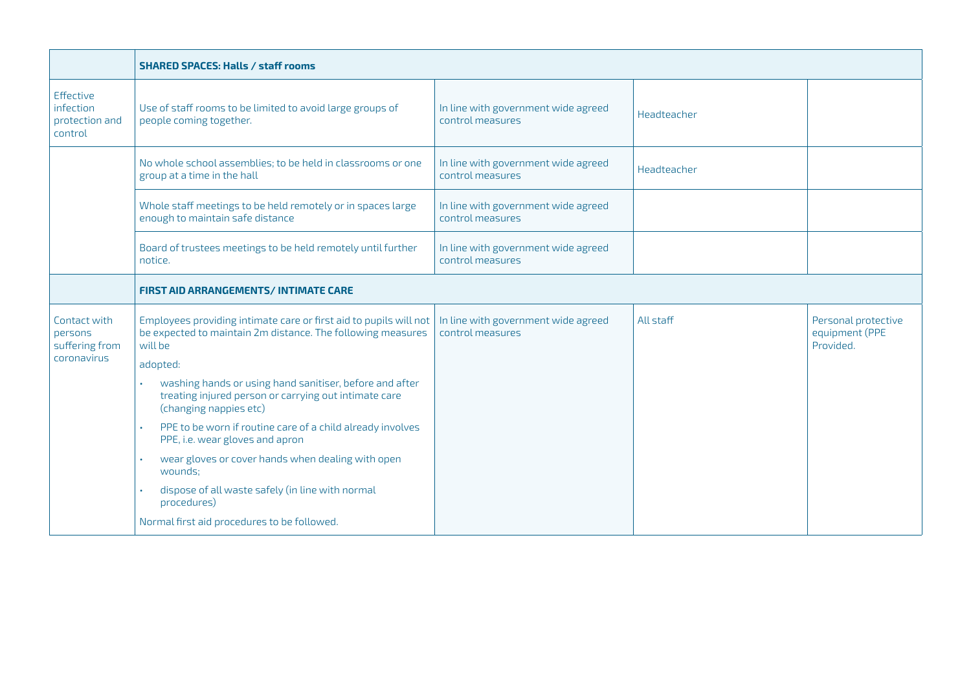|                                                     | <b>SHARED SPACES: Halls / staff rooms</b>                                                                                                   |                                                         |             |                                                    |
|-----------------------------------------------------|---------------------------------------------------------------------------------------------------------------------------------------------|---------------------------------------------------------|-------------|----------------------------------------------------|
| Effective<br>infection<br>protection and<br>control | Use of staff rooms to be limited to avoid large groups of<br>people coming together.                                                        | In line with government wide agreed<br>control measures | Headteacher |                                                    |
|                                                     | No whole school assemblies; to be held in classrooms or one<br>group at a time in the hall                                                  | In line with government wide agreed<br>control measures | Headteacher |                                                    |
|                                                     | Whole staff meetings to be held remotely or in spaces large<br>enough to maintain safe distance                                             | In line with government wide agreed<br>control measures |             |                                                    |
|                                                     | Board of trustees meetings to be held remotely until further<br>notice.                                                                     | In line with government wide agreed<br>control measures |             |                                                    |
|                                                     | <b>FIRST AID ARRANGEMENTS/INTIMATE CARE</b>                                                                                                 |                                                         |             |                                                    |
| Contact with<br>persons<br>suffering from           | Employees providing intimate care or first aid to pupils will not<br>be expected to maintain 2m distance. The following measures<br>will be | In line with government wide agreed<br>control measures | All staff   | Personal protective<br>equipment (PPE<br>Provided. |
| coronavirus                                         | adopted:                                                                                                                                    |                                                         |             |                                                    |
|                                                     | washing hands or using hand sanitiser, before and after<br>treating injured person or carrying out intimate care<br>(changing nappies etc)  |                                                         |             |                                                    |
|                                                     | PPE to be worn if routine care of a child already involves<br>PPE, i.e. wear gloves and apron                                               |                                                         |             |                                                    |
|                                                     | wear gloves or cover hands when dealing with open<br>wounds:                                                                                |                                                         |             |                                                    |
|                                                     | dispose of all waste safely (in line with normal<br>procedures)                                                                             |                                                         |             |                                                    |
|                                                     | Normal first aid procedures to be followed.                                                                                                 |                                                         |             |                                                    |